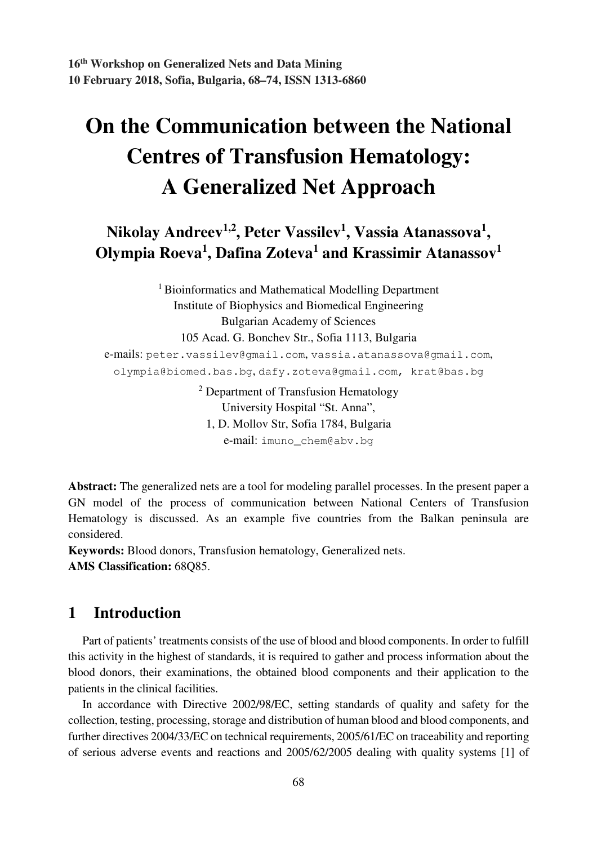# **On the Communication between the National Centres of Transfusion Hematology: A Generalized Net Approach**

**Nikolay Andreev1,2, Peter Vassilev<sup>1</sup> , Vassia Atanassova<sup>1</sup> , Olympia Roeva<sup>1</sup> , Dafina Zoteva<sup>1</sup> and Krassimir Atanassov<sup>1</sup>**

> <sup>1</sup> Bioinformatics and Mathematical Modelling Department Institute of Biophysics and Biomedical Engineering Bulgarian Academy of Sciences 105 Acad. G. Bonchev Str., Sofia 1113, Bulgaria

e-mails: peter.vassilev@gmail.com, vassia.atanassova@gmail.com, olympia@biomed.bas.bg, dafy.zoteva@gmail.com, krat@bas.bg

> <sup>2</sup> Department of Transfusion Hematology University Hospital "St. Anna", 1, D. Mollov Str, Sofia 1784, Bulgaria e-mail: imuno\_chem@abv.bg

**Abstract:** The generalized nets are a tool for modeling parallel processes. In the present paper a GN model of the process of communication between National Centers of Transfusion Hematology is discussed. As an example five countries from the Balkan peninsula are considered.

**Keywords:** Blood donors, Transfusion hematology, Generalized nets. **AMS Classification:** 68Q85.

## **1 Introduction**

Part of patients' treatments consists of the use of blood and blood components. In order to fulfill this activity in the highest of standards, it is required to gather and process information about the blood donors, their examinations, the obtained blood components and their application to the patients in the clinical facilities.

In accordance with Directive 2002/98/EC, setting standards of quality and safety for the collection, testing, processing, storage and distribution of human blood and blood components, and further directives 2004/33/EC on technical requirements, 2005/61/EC on traceability and reporting of serious adverse events and reactions and 2005/62/2005 dealing with quality systems [1] of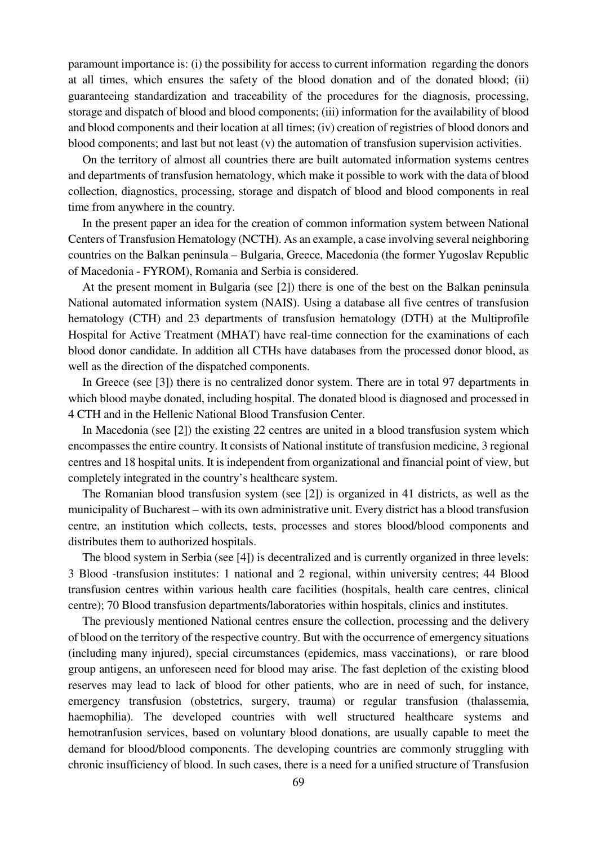paramount importance is: (i) the possibility for access to current information regarding the donors at all times, which ensures the safety of the blood donation and of the donated blood; (ii) guaranteeing standardization and traceability of the procedures for the diagnosis, processing, storage and dispatch of blood and blood components; (iii) information for the availability of blood and blood components and their location at all times; (iv) creation of registries of blood donors and blood components; and last but not least (v) the automation of transfusion supervision activities.

On the territory of almost all countries there are built automated information systems centres and departments of transfusion hematology, which make it possible to work with the data of blood collection, diagnostics, processing, storage and dispatch of blood and blood components in real time from anywhere in the country.

In the present paper an idea for the creation of common information system between National Centers of Transfusion Hematology (NCTH). As an example, a case involving several neighboring countries on the Balkan peninsula – Bulgaria, Greece, Macedonia (the former Yugoslav Republic of Macedonia - FYROM), Romania and Serbia is considered.

At the present moment in Bulgaria (see [2]) there is one of the best on the Balkan peninsula National automated information system (NAIS). Using a database all five centres of transfusion hematology (CTH) and 23 departments of transfusion hematology (DTH) at the Multiprofile Hospital for Active Treatment (MHAT) have real-time connection for the examinations of each blood donor candidate. In addition all CTHs have databases from the processed donor blood, as well as the direction of the dispatched components.

In Greece (see [3]) there is no centralized donor system. There are in total 97 departments in which blood maybe donated, including hospital. The donated blood is diagnosed and processed in 4 CTH and in the Hellenic National Blood Transfusion Center.

In Macedonia (see [2]) the existing 22 centres are united in a blood transfusion system which encompasses the entire country. It consists of National institute of transfusion medicine, 3 regional centres and 18 hospital units. It is independent from organizational and financial point of view, but completely integrated in the country's healthcare system.

The Romanian blood transfusion system (see [2]) is organized in 41 districts, as well as the municipality of Bucharest – with its own administrative unit. Every district has a blood transfusion centre, an institution which collects, tests, processes and stores blood/blood components and distributes them to authorized hospitals.

The blood system in Serbia (see [4]) is decentralized and is currently organized in three levels: 3 Blood -transfusion institutes: 1 national and 2 regional, within university centres; 44 Blood transfusion centres within various health care facilities (hospitals, health care centres, clinical centre); 70 Blood transfusion departments/laboratories within hospitals, clinics and institutes.

The previously mentioned National centres ensure the collection, processing and the delivery of blood on the territory of the respective country. But with the occurrence of emergency situations (including many injured), special circumstances (epidemics, mass vaccinations), or rare blood group antigens, an unforeseen need for blood may arise. The fast depletion of the existing blood reserves may lead to lack of blood for other patients, who are in need of such, for instance, emergency transfusion (obstetrics, surgery, trauma) or regular transfusion (thalassemia, haemophilia). The developed countries with well structured healthcare systems and hemotranfusion services, based on voluntary blood donations, are usually capable to meet the demand for blood/blood components. The developing countries are commonly struggling with chronic insufficiency of blood. In such cases, there is a need for a unified structure of Transfusion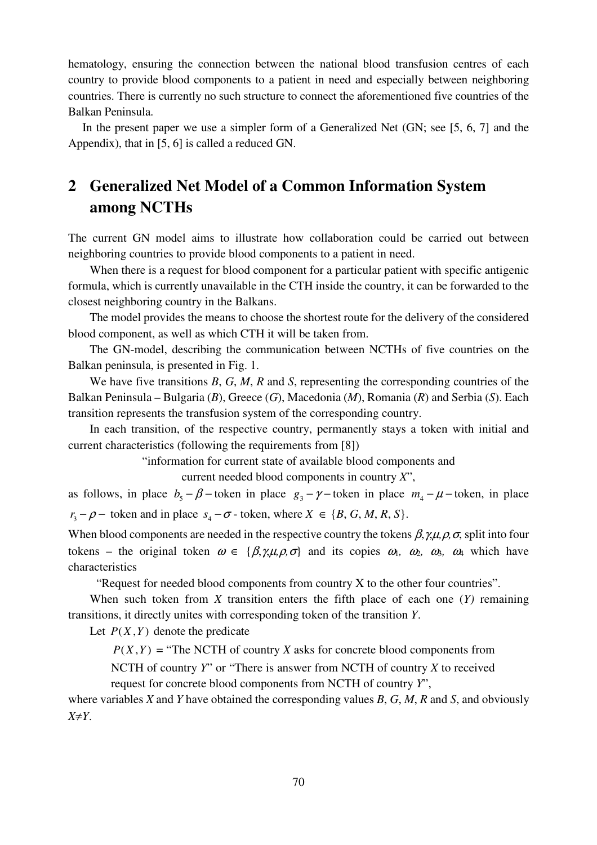hematology, ensuring the connection between the national blood transfusion centres of each country to provide blood components to a patient in need and especially between neighboring countries. There is currently no such structure to connect the aforementioned five countries of the Balkan Peninsula.

In the present paper we use a simpler form of a Generalized Net (GN; see [5, 6, 7] and the Appendix), that in [5, 6] is called a reduced GN.

# **2 Generalized Net Model of a Common Information System among NCTHs**

The current GN model aims to illustrate how collaboration could be carried out between neighboring countries to provide blood components to a patient in need.

When there is a request for blood component for a particular patient with specific antigenic formula, which is currently unavailable in the CTH inside the country, it can be forwarded to the closest neighboring country in the Balkans.

The model provides the means to choose the shortest route for the delivery of the considered blood component, as well as which CTH it will be taken from.

The GN-model, describing the communication between NCTHs of five countries on the Balkan peninsula, is presented in Fig. 1.

We have five transitions *B*, *G*, *M*, *R* and *S*, representing the corresponding countries of the Balkan Peninsula – Bulgaria (*B*), Greece (*G*), Macedonia (*M*), Romania (*R*) and Serbia (*S*). Each transition represents the transfusion system of the corresponding country.

In each transition, of the respective country, permanently stays a token with initial and current characteristics (following the requirements from [8])

"information for current state of available blood components and

current needed blood components in country *X*",

as follows, in place  $b_5 - \beta$  – token in place  $g_3 - \gamma$  – token in place  $m_4 - \mu$  – token, in place  $r_3 - \rho$  – token and in place  $s_4 - \sigma$  - token, where  $X \in \{B, G, M, R, S\}.$ 

When blood components are needed in the respective country the tokens  $\beta$ ,  $\gamma$ , $\mu$ , $\rho$ ,  $\sigma$ , split into four tokens – the original token  $\omega \in {\beta, \gamma, \mu, \rho, \sigma}$  and its copies  $\omega_1$ ,  $\omega_2$ ,  $\omega_3$ ,  $\omega_4$  which have characteristics

"Request for needed blood components from country X to the other four countries".

When such token from *X* transition enters the fifth place of each one (*Y)* remaining transitions, it directly unites with corresponding token of the transition *Y*.

Let  $P(X, Y)$  denote the predicate

 $P(X, Y)$  = "The NCTH of country *X* asks for concrete blood components from

NCTH of country *Y*" or "There is answer from NCTH of country *X* to received request for concrete blood components from NCTH of country *Y*",

where variables *X* and *Y* have obtained the corresponding values *B*, *G*, *M*, *R* and *S*, and obviously *X*≠*Y*.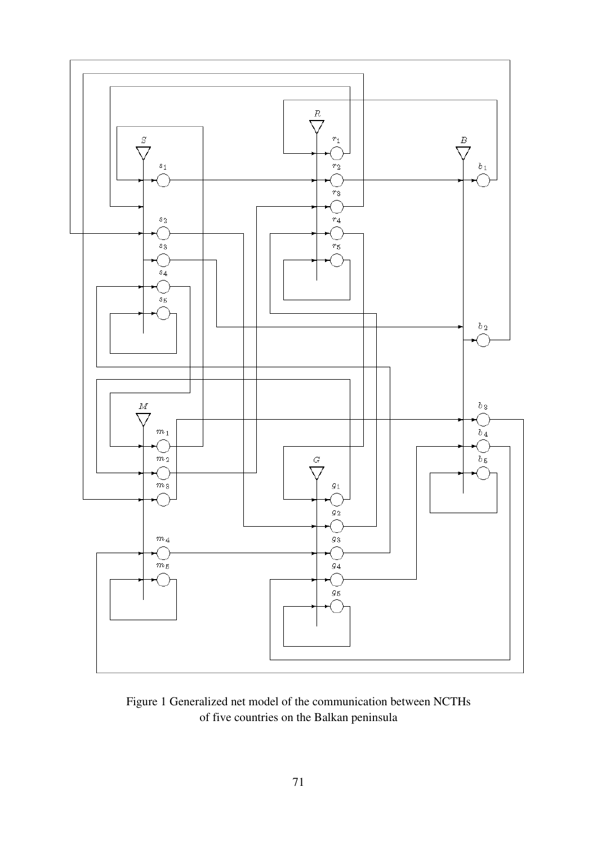

Figure 1 Generalized net model of the communication between NCTHs of five countries on the Balkan peninsula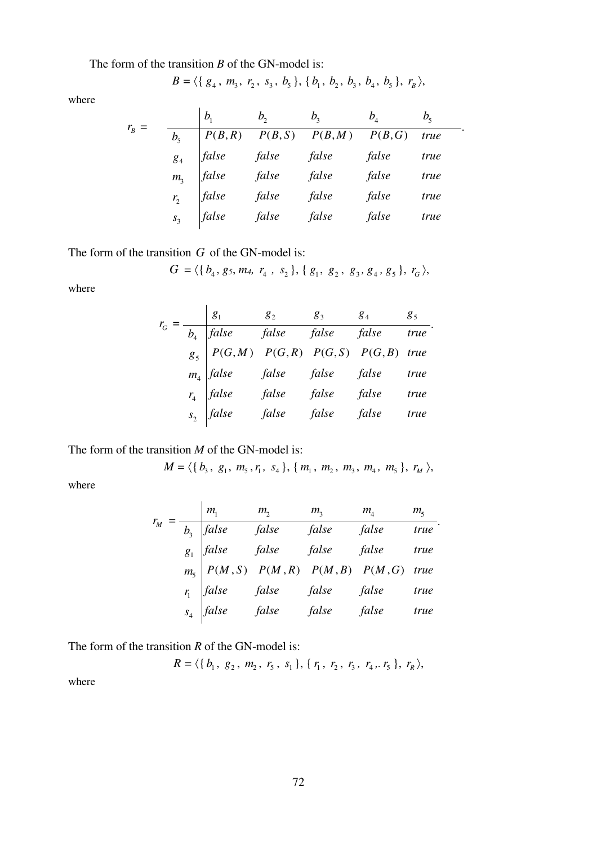The form of the transition *B* of the GN-model is:

$$
B = \langle \{ g_4, m_3, r_2, s_3, b_5 \}, \{ b_1, b_2, b_3, b_4, b_5 \}, r_B \rangle
$$

where

$$
r_B = \frac{b_1}{b_5} = \frac{b_2}{P(B,R) - P(B,S) - P(B,M) - P(B,G) \quad true}{\int_{B_4}^{B_5} f \, ds}.
$$
\n
$$
r_B = \frac{b_1}{P(B,R) - P(B,S) - P(B,M) - P(B,G) \quad true}{\int_{B_3}^{B_4} f \, ds}.
$$
\n
$$
r_B = \frac{b_2}{f}.
$$
\n
$$
r_B = \frac{b_3}{f}.
$$
\n
$$
r_B = \frac{f}{f}.
$$
\n
$$
r_B = \frac{f}{f}.
$$
\n
$$
r_B = \frac{f}{f}.
$$
\n
$$
r_B = \frac{f}{f}.
$$
\n
$$
r_B = \frac{f}{f}.
$$
\n
$$
r_B = \frac{f}{f}.
$$
\n
$$
r_B = \frac{f}{f}.
$$
\n
$$
r_B = \frac{f}{f}.
$$
\n
$$
r_B = \frac{f}{f}.
$$
\n
$$
r_B = \frac{f}{f}.
$$
\n
$$
r_B = \frac{f}{f}.
$$
\n
$$
r_B = \frac{f}{f}.
$$
\n
$$
r_B = \frac{f}{f}.
$$
\n
$$
r_B = \frac{f}{f}.
$$

The form of the transition *G* of the GN-model is:

$$
G = \langle \{b_4, g_5, m_4, r_4, s_2\}, \{g_1, g_2, g_3, g_4, g_5\}, r_G \rangle,
$$

where

|  |                                                                                                                                                                                                                                                                                                                                     | $g_3$ |  |
|--|-------------------------------------------------------------------------------------------------------------------------------------------------------------------------------------------------------------------------------------------------------------------------------------------------------------------------------------|-------|--|
|  |                                                                                                                                                                                                                                                                                                                                     |       |  |
|  |                                                                                                                                                                                                                                                                                                                                     |       |  |
|  |                                                                                                                                                                                                                                                                                                                                     |       |  |
|  |                                                                                                                                                                                                                                                                                                                                     |       |  |
|  | $\begin{array}{ c cccc } \hline g_1 & g_2 & g_3 & g_4 & g_5 \\ \hline b_4 & false & false & false & false & true \\ g_5 & P(G,M) & P(G,R) & P(G,S) & P(G,B) & true \\ m_4 & false & false & false & false & true \\ r_4 & false & false & false & false & true \\ s_2 & false & false & false & false & true \\ \hline \end{array}$ |       |  |

The form of the transition *M* of the GN-model is:

$$
M = \langle \{b_3, g_1, m_5, r_1, s_4\}, \{m_1, m_2, m_3, m_4, m_5\}, r_M \rangle
$$

where

$$
r_M = \frac{m_1}{b_3} \frac{m_2}{false} \frac{m_3}{false} \frac{m_4}{false} \frac{m_5}{true}.
$$
  
\n
$$
g_1 = \frac{g_1}{true} \frac{false}{false} \frac{false}{false} \frac{false}{false} \frac{true}{true}.
$$
  
\n
$$
r_1 = \frac{false}{false} \frac{false}{false} \frac{false}{false} \frac{false}{true} \frac{true}{true}
$$
  
\n
$$
s_4 = false \frac{false}{false} \frac{false}{false} \frac{false}{false} \frac{true}{true}
$$

The form of the transition *R* of the GN-model is:

$$
R = \langle \{b_1, g_2, m_2, r_5, s_1\}, \{r_1, r_2, r_3, r_4, r_5\}, r_6 \rangle,
$$

where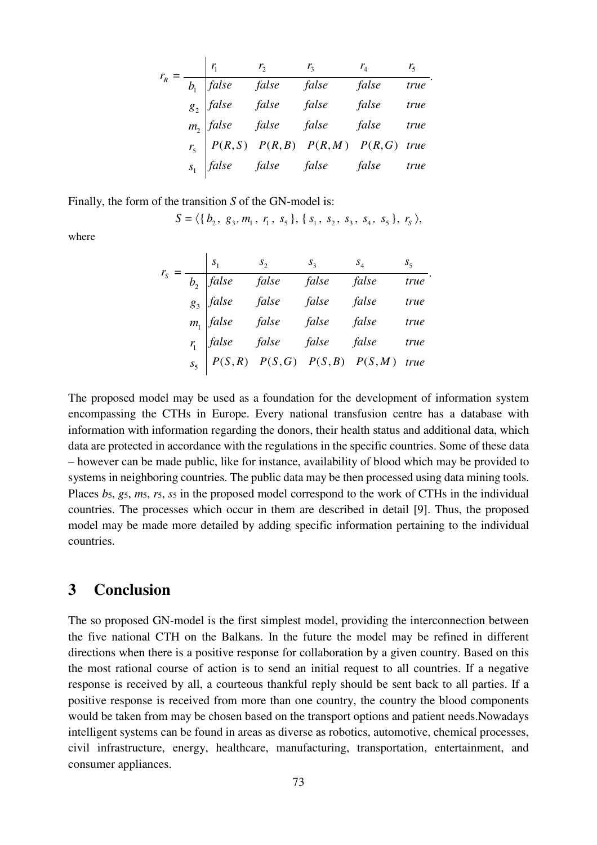|  |       | $r_{3}$                                                                                                                                                                                                                                                               | $r_{\rm A}$ | $r_{\varsigma}$ |
|--|-------|-----------------------------------------------------------------------------------------------------------------------------------------------------------------------------------------------------------------------------------------------------------------------|-------------|-----------------|
|  | false |                                                                                                                                                                                                                                                                       |             |                 |
|  |       |                                                                                                                                                                                                                                                                       |             |                 |
|  |       |                                                                                                                                                                                                                                                                       |             |                 |
|  |       |                                                                                                                                                                                                                                                                       |             |                 |
|  |       | $\begin{array}{ccc} b_1 & false & false & false & false & false & true \ g_2 & false & false & false & false & true \ m_2 & false & false & false & false & true \ r_5 & P(R,S) & P(R,B) & P(R,M) & P(R,G) & true \ g_1 & false & false & false & true \ \end{array}$ |             |                 |

.

.

Finally, the form of the transition *S* of the GN-model is:

 $\mathbf{r}$ 

$$
S = \langle \{b_2, g_3, m_1, r_1, s_5\}, \{s_1, s_2, s_3, s_4, s_5\}, r_s \rangle,
$$

where

|  |                            |       | $S_3$ | $S_4$                                                                                        | $S_5$ |
|--|----------------------------|-------|-------|----------------------------------------------------------------------------------------------|-------|
|  | false                      | false | false | false                                                                                        | true  |
|  | $g_3$ false<br>$m_1$ false | false | false | false                                                                                        | true  |
|  |                            | false | false | false                                                                                        | true  |
|  | $r_1$ false                | false | false | false                                                                                        | true  |
|  |                            |       |       | $S_5$ $\left[\begin{array}{ccc} P(S,R) & P(S,G) & P(S,B) & P(S,M) & true \end{array}\right]$ |       |
|  |                            |       |       |                                                                                              |       |

The proposed model may be used as a foundation for the development of information system encompassing the CTHs in Europe. Every national transfusion centre has a database with information with information regarding the donors, their health status and additional data, which data are protected in accordance with the regulations in the specific countries. Some of these data – however can be made public, like for instance, availability of blood which may be provided to systems in neighboring countries. The public data may be then processed using data mining tools. Places  $b_5$ ,  $g_5$ ,  $m_5$ ,  $r_5$ ,  $s_5$  in the proposed model correspond to the work of CTHs in the individual countries. The processes which occur in them are described in detail [9]. Thus, the proposed model may be made more detailed by adding specific information pertaining to the individual countries.

#### **3 Conclusion**

The so proposed GN-model is the first simplest model, providing the interconnection between the five national CTH on the Balkans. In the future the model may be refined in different directions when there is a positive response for collaboration by a given country. Based on this the most rational course of action is to send an initial request to all countries. If a negative response is received by all, a courteous thankful reply should be sent back to all parties. If a positive response is received from more than one country, the country the blood components would be taken from may be chosen based on the transport options and patient needs.Nowadays intelligent systems can be found in areas as diverse as robotics, automotive, chemical processes, civil infrastructure, energy, healthcare, manufacturing, transportation, entertainment, and consumer appliances.